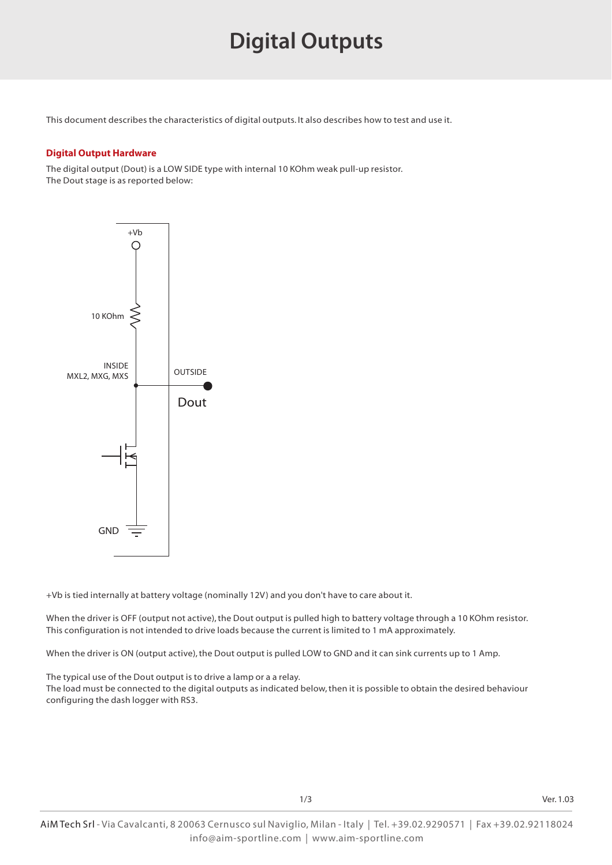## **Digital Outputs**

This document describes the characteristics of digital outputs. It also describes how to test and use it.

#### **Digital Output Hardware**

The digital output (Dout) is a LOW SIDE type with internal 10 KOhm weak pull-up resistor. The Dout stage is as reported below:



+Vb is tied internally at battery voltage (nominally 12V) and you don't have to care about it.

When the driver is OFF (output not active), the Dout output is pulled high to battery voltage through a 10 KOhm resistor. This configuration is not intended to drive loads because the current is limited to 1 mA approximately.

When the driver is ON (output active), the Dout output is pulled LOW to GND and it can sink currents up to 1 Amp.

The typical use of the Dout output is to drive a lamp or a a relay.

The load must be connected to the digital outputs as indicated below, then it is possible to obtain the desired behaviour configuring the dash logger with RS3.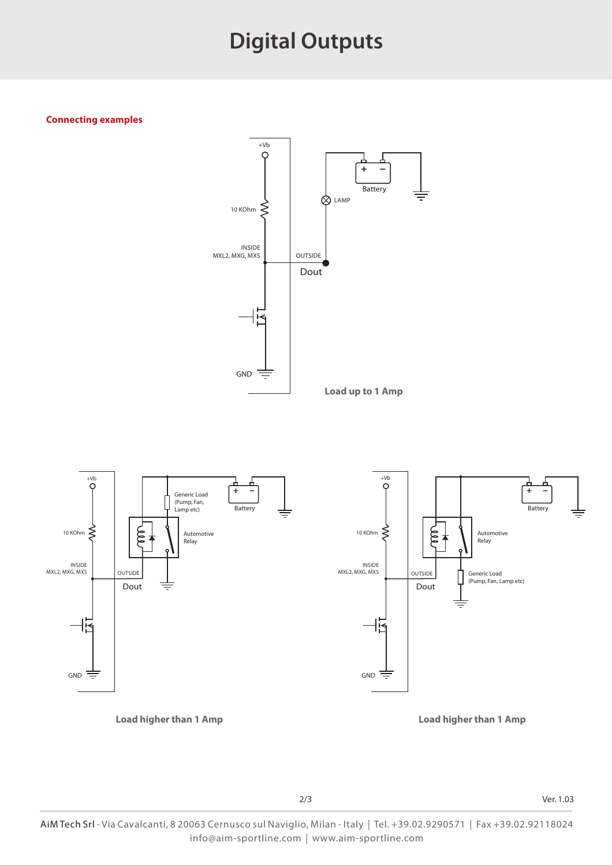### **Digital Outputs**

#### **Connecting examples**





2/3